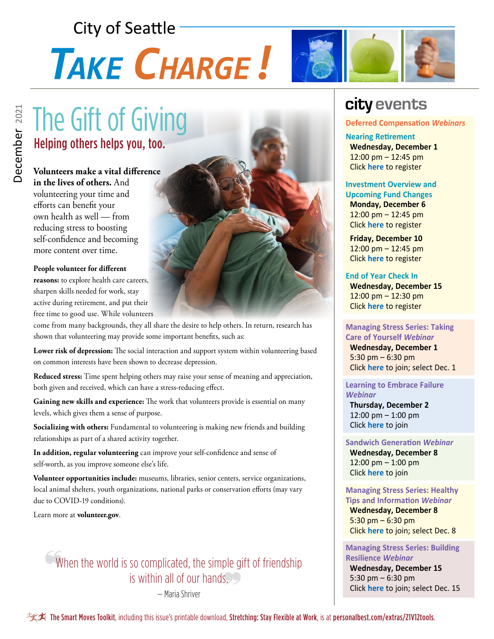## **City of Seattle**

# TAKE CHARGE!



#### **Volunteers make a vital difference**

**in the lives of others.** And volunteering your time and efforts can benefit your own health as well — from reducing stress to boosting self-confidence and becoming more content over time.

#### **People volunteer for different**

**reasons:** to explore health care careers, sharpen skills needed for work, stay active during retirement, and put their free time to good use. While volunteers

come from many backgrounds, they all share the desire to help others. In return, research has shown that volunteering may provide some important benefits, such as:

**Lower risk of depression:** The social interaction and support system within volunteering based on common interests have been shown to decrease depression.

**Reduced stress:** Time spent helping others may raise your sense of meaning and appreciation, both given and received, which can have a stress-reducing effect.

**Gaining new skills and experience:** The work that volunteers provide is essential on many levels, which gives them a sense of purpose.

**Socializing with others:** Fundamental to volunteering is making new friends and building relationships as part of a shared activity together.

**In addition, regular volunteering** can improve your self-confidence and sense of self-worth, as you improve someone else's life.

**Volunteer opportunities include:** museums, libraries, senior centers, service organizations, local animal shelters, youth organizations, national parks or conservation efforts (may vary due to COVID-19 conditions).

Learn more at **volunteer.gov**.

### When the world is so complicated, the simple gift of friendship is within all of our hands.

— Maria Shriver



## **city events**

#### **Deferred Compensation** *Webinars*

**Nearing Retirement Wednesday, December 1** 12:00 pm – 12:45 pm Click **[here](https://bit.ly/3AOu2w5)** to register

#### **Investment Overview and**

**Upcoming Fund Changes Monday, December 6**  $12:00 \text{ pm} - 12:45 \text{ pm}$ Click **[here](https://bit.ly/3vwsTYW)** to register

 **Friday, December 10** 12:00 pm – 12:45 pm Click **[here](https://bit.ly/3pmeVYz)** to register

**End of Year Check In Wednesday, December 15** 12:00 pm – 12:30 pm Click **[here](https://bit.ly/3viJIGP)** to register

#### **Managing Stress Series: Taking Care of Yourself** *Webinar*

 **Wednesday, December 1** 5:30 pm – 6:30 pm Click **[here](https://webmail.kp.org/owa/calendar/KPCenterforHealthyLiving@kp.org/bookings/)** to join; select Dec. 1

**Learning to Embrace Failure**  *Webinar*

 **Thursday, December 2** 12:00 pm – 1:00 pm Click **[here](https://mylifevalues.webex.com/mylifevalues/k2/j.php?MTID=te113d7387ce258816cec5715da314a04)** to join

#### **Sandwich Generation** *Webinar*

 **Wednesday, December 8** 12:00 pm – 1:00 pm Click **[here](https://mylifevalues.webex.com/mylifevalues/k2/j.php?MTID=t8290656bee8204f4cb7f87499fbc510c)** to join

#### **Managing Stress Series: Healthy Tips and Information** *Webinar*

 **Wednesday, December 8** 5:30  $pm - 6:30$  pm Click **[here](https://webmail.kp.org/owa/calendar/KPCenterforHealthyLiving@kp.org/bookings/)** to join; select Dec. 8

**Managing Stress Series: Building Resilience** *Webinar*  **Wednesday, December 15** 5:30 pm – 6:30 pm Click **[here](https://webmail.kp.org/owa/calendar/KPCenterforHealthyLiving@kp.org/bookings/)** to join; select Dec. 15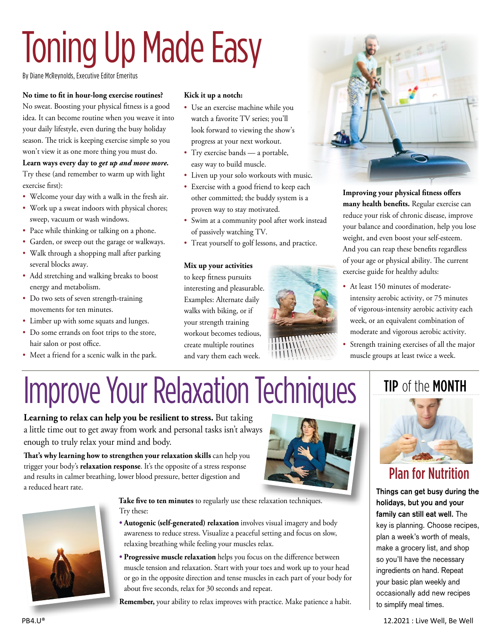# Toning Up Made Easy

By Diane McReynolds, Executive Editor Emeritus

#### **No time to fit in hour-long exercise routines?**

No sweat. Boosting your physical fitness is a good idea. It can become routine when you weave it into your daily lifestyle, even during the busy holiday season. The trick is keeping exercise simple so you won't view it as one more thing you must do.

#### **Learn ways every day to** *get up and move more.*

Try these (and remember to warm up with light exercise first):

- Welcome your day with a walk in the fresh air.
- Work up a sweat indoors with physical chores; sweep, vacuum or wash windows.
- Pace while thinking or talking on a phone.
- Garden, or sweep out the garage or walkways.
- Walk through a shopping mall after parking several blocks away.
- Add stretching and walking breaks to boost energy and metabolism.
- Do two sets of seven strength-training movements for ten minutes.
- Limber up with some squats and lunges.
- Do some errands on foot trips to the store, hair salon or post office.
- Meet a friend for a scenic walk in the park.

#### **Kick it up a notch:**

- Use an exercise machine while you watch a favorite TV series; you'll look forward to viewing the show's progress at your next workout.
- Try exercise bands a portable, easy way to build muscle.
- Liven up your solo workouts with music.
- Exercise with a good friend to keep each other committed; the buddy system is a proven way to stay motivated.
- Swim at a community pool after work instead of passively watching TV.
- Treat yourself to golf lessons, and practice.

#### **Mix up your activities**

to keep fitness pursuits interesting and pleasurable. Examples: Alternate daily walks with biking, or if your strength training workout becomes tedious, create multiple routines and vary them each week.





**Improving your physical fitness offers many health benefits.** Regular exercise can reduce your risk of chronic disease, improve your balance and coordination, help you lose weight, and even boost your self-esteem. And you can reap these benefits regardless of your age or physical ability. The current exercise guide for healthy adults:

- At least 150 minutes of moderateintensity aerobic activity, or 75 minutes of vigorous-intensity aerobic activity each week, or an equivalent combination of moderate and vigorous aerobic activity.
- Strength training exercises of all the major muscle groups at least twice a week.

## Improve Your Relaxation Techniques | TIP of the MONTH

**Learning to relax can help you be resilient to stress.** But taking a little time out to get away from work and personal tasks isn't always enough to truly relax your mind and body.

**That's why learning how to strengthen your relaxation skills** can help you trigger your body's **relaxation response**. It's the opposite of a stress response and results in calmer breathing, lower blood pressure, better digestion and a reduced heart rate.





 **Take five to ten minutes** to regularly use these relaxation techniques. Try these:

- **• Autogenic (self-generated) relaxation** involves visual imagery and body awareness to reduce stress. Visualize a peaceful setting and focus on slow, relaxing breathing while feeling your muscles relax.
- **• Progressive muscle relaxation** helps you focus on the difference between muscle tension and relaxation. Start with your toes and work up to your head or go in the opposite direction and tense muscles in each part of your body for about five seconds, relax for 30 seconds and repeat.

**Remember,** your ability to relax improves with practice. Make patience a habit.



Plan for Nutrition

**Things can get busy during the holidays, but you and your family can still eat well.** The key is planning. Choose recipes, plan a week's worth of meals, make a grocery list, and shop so you'll have the necessary ingredients on hand. Repeat your basic plan weekly and occasionally add new recipes to simplify meal times.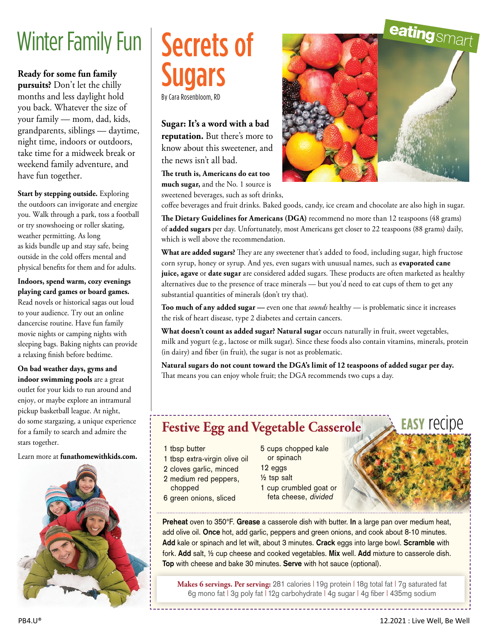## Winter Family Fun

**Ready for some fun family pursuits?** Don't let the chilly months and less daylight hold you back. Whatever the size of your family — mom, dad, kids, grandparents, siblings — daytime, night time, indoors or outdoors, take time for a midweek break or weekend family adventure, and have fun together.

**Start by stepping outside.** Exploring the outdoors can invigorate and energize you. Walk through a park, toss a football or try snowshoeing or roller skating, weather permitting. As long as kids bundle up and stay safe, being outside in the cold offers mental and physical benefits for them and for adults.

**Indoors, spend warm, cozy evenings playing card games or board games.**  Read novels or historical sagas out loud to your audience. Try out an online dancercise routine. Have fun family movie nights or camping nights with sleeping bags. Baking nights can provide a relaxing finish before bedtime.

**On bad weather days, gyms and indoor swimming pools** are a great outlet for your kids to run around and enjoy, or maybe explore an intramural pickup basketball league. At night, do some stargazing, a unique experience for a family to search and admire the stars together.

Learn more at **funathomewithkids.com.**



## Secrets of Sugars By Cara Rosenbloom, RD

**Sugar: It's a word with a bad reputation.** But there's more to know about this sweetener, and the news isn't all bad.

**The truth is, Americans do eat too much sugar,** and the No. 1 source is sweetened beverages, such as soft drinks,



coffee beverages and fruit drinks. Baked goods, candy, ice cream and chocolate are also high in sugar.

**The Dietary Guidelines for Americans (DGA)** recommend no more than 12 teaspoons (48 grams) of **added sugars** per day. Unfortunately, most Americans get closer to 22 teaspoons (88 grams) daily, which is well above the recommendation.

**What are added sugars?** They are any sweetener that's added to food, including sugar, high fructose corn syrup, honey or syrup. And yes, even sugars with unusual names, such as **evaporated cane juice, agave** or **date sugar** are considered added sugars. These products are often marketed as healthy alternatives due to the presence of trace minerals — but you'd need to eat cups of them to get any substantial quantities of minerals (don't try that).

**Too much of any added sugar —** even one that *sounds* healthy — is problematic since it increases the risk of heart disease, type 2 diabetes and certain cancers.

**What doesn't count as added sugar? Natural sugar** occurs naturally in fruit, sweet vegetables, milk and yogurt (e.g., lactose or milk sugar). Since these foods also contain vitamins, minerals, protein (in dairy) and fiber (in fruit), the sugar is not as problematic.

**Natural sugars do not count toward the DGA's limit of 12 teaspoons of added sugar per day.**  That means you can enjoy whole fruit; the DGA recommends two cups a day.

### **Festive Egg and Vegetable Casserole**

- 1 tbsp butter
- 1 tbsp extra-virgin olive oil
- 2 cloves garlic, minced
- 2 medium red peppers,
- chopped
- 6 green onions, sliced
- 5 cups chopped kale
- or spinach 12 eggs
- ½ tsp salt
- 1 cup crumbled goat or feta cheese, divided



Makes 6 servings. Per serving: 281 calories | 19g protein | 18g total fat | 7g saturated fat 6g mono fat | 3g poly fat | 12g carbohydrate | 4g sugar | 4g fiber | 435mg sodium

**easy** recipe